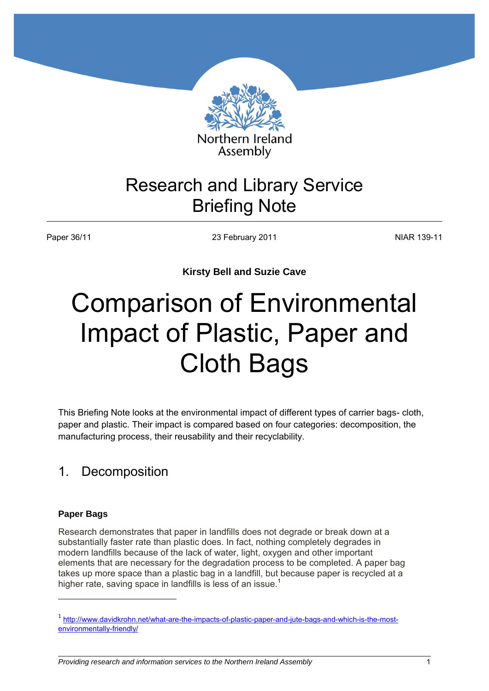

Assembly

## Research and Library Service Briefing Note

Paper 36/11 **NIAR 139-11** 23 February 2011 **NIAR 139-11** 

**Kirsty Bell and Suzie Cave** 

# Comparison of Environmental Impact of Plastic, Paper and Cloth Bags

This Briefing Note looks at the environmental impact of different types of carrier bags- cloth, paper and plastic. Their impact is compared based on four categories: decomposition, the manufacturing process, their reusability and their recyclability.

## 1. Decomposition

#### **Paper Bags**

**.** 

Research demonstrates that paper in landfills does not degrade or break down at a substantially faster rate than plastic does. In fact, nothing completely degrades in modern landfills because of the lack of water, light, oxygen and other important elements that are necessary for the degradation process to be completed. A paper bag takes up more space than a plastic bag in a landfill, but because paper is recycled at a higher rate, saving space in landfills is less of an issue.<sup>1</sup>

*Providing research and information services to the Northern Ireland Assembly* 

<sup>&</sup>lt;sup>1</sup> [http://www.davidkrohn.net/what-are-the-impacts-of-plastic-paper-and-jute-bags-and-which-is-the-most](http://www.davidkrohn.net/what-are-the-impacts-of-plastic-paper-and-jute-bags-and-which-is-the-most-environmentally-friendly/)[environmentally-friendly/](http://www.davidkrohn.net/what-are-the-impacts-of-plastic-paper-and-jute-bags-and-which-is-the-most-environmentally-friendly/)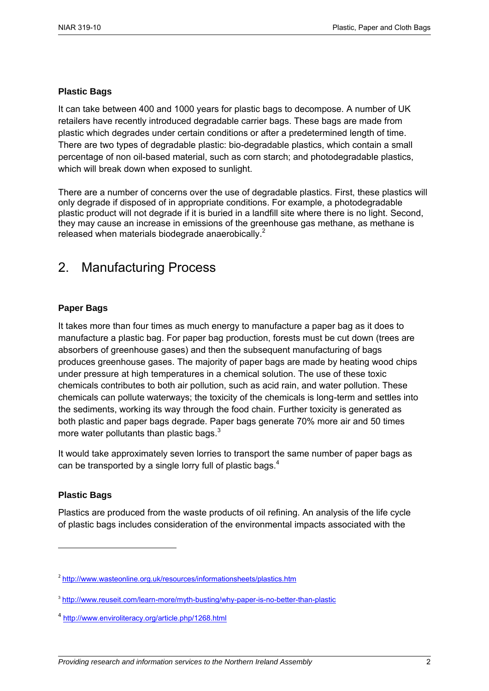#### **Plastic Bags**

It can take between 400 and 1000 years for plastic bags to decompose. A number of UK retailers have recently introduced degradable carrier bags. These bags are made from plastic which degrades under certain conditions or after a predetermined length of time. There are two types of degradable plastic: bio-degradable plastics, which contain a small percentage of non oil-based material, such as corn starch; and photodegradable plastics, which will break down when exposed to sunlight.

There are a number of concerns over the use of degradable plastics. First, these plastics will only degrade if disposed of in appropriate conditions. For example, a photodegradable plastic product will not degrade if it is buried in a landfill site where there is no light. Second, they may cause an increase in emissions of the greenhouse gas methane, as methane is released when materials biodegrade anaerobically.<sup>2</sup>

## 2. Manufacturing Process

#### **Paper Bags**

It takes more than four times as much energy to manufacture a paper bag as it does to manufacture a plastic bag. For paper bag production, forests must be cut down (trees are absorbers of greenhouse gases) and then the subsequent manufacturing of bags produces greenhouse gases. The majority of paper bags are made by heating wood chips under pressure at high temperatures in a chemical solution. The use of these toxic chemicals contributes to both air pollution, such as acid rain, and water pollution. These chemicals can pollute waterways; the toxicity of the chemicals is long-term and settles into the sediments, working its way through the food chain. Further toxicity is generated as both plastic and paper bags degrade. Paper bags generate 70% more air and 50 times more water pollutants than plastic bags. $3$ 

It would take approximately seven lorries to transport the same number of paper bags as can be transported by a single lorry full of plastic bags.<sup>4</sup>

#### **Plastic Bags**

**.** 

Plastics are produced from the waste products of oil refining. An analysis of the life cycle of plastic bags includes consideration of the environmental impacts associated with the

<sup>&</sup>lt;sup>2</sup> http://www.wasteonline.org.uk/resources/informationsheets/plastics.htm

<sup>&</sup>lt;sup>3</sup> <http://www.reuseit.com/learn-more/myth-busting/why-paper-is-no-better-than-plastic>

<sup>4</sup> <http://www.enviroliteracy.org/article.php/1268.html>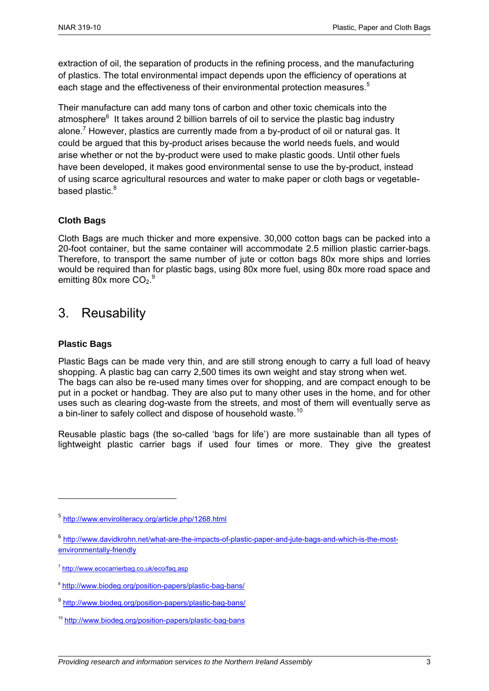extraction of oil, the separation of products in the refining process, and the manufacturing of plastics. The total environmental impact depends upon the efficiency of operations at each stage and the effectiveness of their environmental protection measures.<sup>5</sup>

Their manufacture can add many tons of carbon and other toxic chemicals into the atmosphere<sup>6</sup> It takes around 2 billion barrels of oil to service the plastic bag industry alone.<sup>7</sup> However, plastics are currently made from a by-product of oil or natural gas. It could be argued that this by-product arises because the world needs fuels, and would arise whether or not the by-product were used to make plastic goods. Until other fuels have been developed, it makes good environmental sense to use the by-product, instead of using scarce agricultural resources and water to make paper or cloth bags or vegetablebased plastic.<sup>8</sup>

#### **Cloth Bags**

Cloth Bags are much thicker and more expensive. 30,000 cotton bags can be packed into a 20-foot container, but the same container will accommodate 2.5 million plastic carrier-bags. Therefore, to transport the same number of jute or cotton bags 80x more ships and lorries would be required than for plastic bags, using 80x more fuel, using 80x more road space and emitting 80x more  $CO<sub>2</sub>$ .<sup>9</sup>

## 3. Reusability

#### **Plastic Bags**

1

Plastic Bags can be made very thin, and are still strong enough to carry a full load of heavy shopping. A plastic bag can carry 2,500 times its own weight and stay strong when wet. The bags can also be re-used many times over for shopping, and are compact enough to be put in a pocket or handbag. They are also put to many other uses in the home, and for other uses such as clearing dog-waste from the streets, and most of them will eventually serve as a bin-liner to safely collect and dispose of household waste.<sup>10</sup>

Reusable plastic bags (the so-called 'bags for life') are more sustainable than all types of lightweight plastic carrier bags if used four times or more. They give the greatest

<sup>&</sup>lt;sup>5</sup> <http://www.enviroliteracy.org/article.php/1268.html>

<sup>&</sup>lt;sup>6</sup> [http://www.davidkrohn.net/what-are-the-impacts-of-plastic-paper-and-jute-bags-and-which-is-the-most](http://www.davidkrohn.net/what-are-the-impacts-of-plastic-paper-and-jute-bags-and-which-is-the-most-environmentally-friendly)[environmentally-friendly](http://www.davidkrohn.net/what-are-the-impacts-of-plastic-paper-and-jute-bags-and-which-is-the-most-environmentally-friendly)

<sup>&</sup>lt;sup>7</sup> http://www.ecocarrierbag.co.uk/eco/faq.asp

<sup>&</sup>lt;sup>8</sup> <http://www.biodeg.org/position-papers/plastic-bag-bans/>

<sup>&</sup>lt;sup>9</sup> <http://www.biodeg.org/position-papers/plastic-bag-bans/>

<sup>10</sup> <http://www.biodeg.org/position-papers/plastic-bag-bans>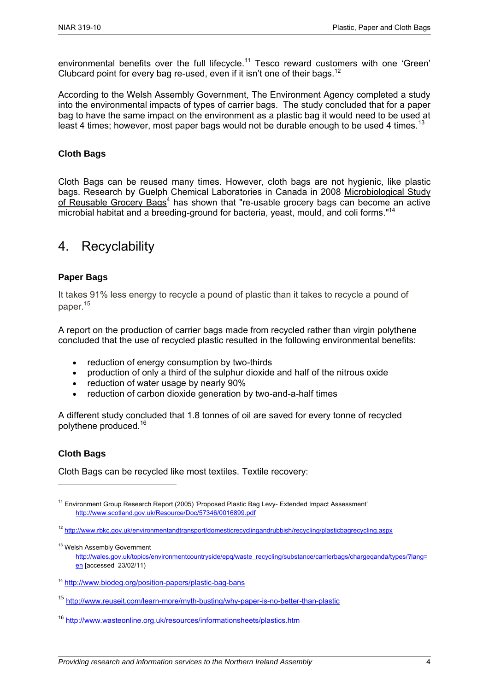environmental benefits over the full lifecycle.<sup>11</sup> Tesco reward customers with one 'Green' Clubcard point for every bag re-used, even if it isn't one of their bags.<sup>12</sup>

According to the Welsh Assembly Government, The Environment Agency completed a study into the environmental impacts of types of carrier bags. The study concluded that for a paper bag to have the same impact on the environment as a plastic bag it would need to be used at least 4 times; however, most paper bags would not be durable enough to be used 4 times.<sup>13</sup>

#### **Cloth Bags**

Cloth Bags can be reused many times. However, cloth bags are not hygienic, like plastic bags. Research by Guelph Chemical Laboratories in Canada in 2008 Microbiological Study of Reusable Grocery Bags<sup>4</sup> has shown that "re-usable grocery bags can become an active microbial habitat and a breeding-ground for bacteria, yeast, mould, and coli forms."<sup>14</sup>

### 4. Recyclability

#### **Paper Bags**

It takes 91% less energy to recycle a pound of plastic than it takes to recycle a pound of paper.<sup>15</sup>

A report on the production of carrier bags made from recycled rather than virgin polythene concluded that the use of recycled plastic resulted in the following environmental benefits:

- reduction of energy consumption by two-thirds
- production of only a third of the sulphur dioxide and half of the nitrous oxide
- reduction of water usage by nearly 90%
- reduction of carbon dioxide generation by two-and-a-half times

A different study concluded that 1.8 tonnes of oil are saved for every tonne of recycled polythene produced.<sup>16</sup>

#### **Cloth Bags**

**.** 

Cloth Bags can be recycled like most textiles. Textile recovery:

<sup>&</sup>lt;sup>11</sup> Environment Group Research Report (2005) 'Proposed Plastic Bag Levy- Extended Impact Assessment' <http://www.scotland.gov.uk/Resource/Doc/57346/0016899.pdf>

<sup>&</sup>lt;sup>12</sup> http://www.rbkc.gov.uk/environmentandtransport/domesticrecyclingandrubbish/recycling/plasticbagrecycling.aspx

<sup>&</sup>lt;sup>13</sup> Welsh Assembly Government http://wales.gov.uk/topics/environmentcountryside/epg/waste\_recycling/substance/carrierbags/chargeganda/types/?lang= [en](http://wales.gov.uk/topics/environmentcountryside/epq/waste_recycling/substance/carrierbags/chargeqanda/types/?lang=en) [accessed 23/02/11)

<sup>&</sup>lt;sup>14</sup> <http://www.biodeg.org/position-papers/plastic-bag-bans>

<sup>15</sup> <http://www.reuseit.com/learn-more/myth-busting/why-paper-is-no-better-than-plastic>

<sup>16</sup> <http://www.wasteonline.org.uk/resources/informationsheets/plastics.htm>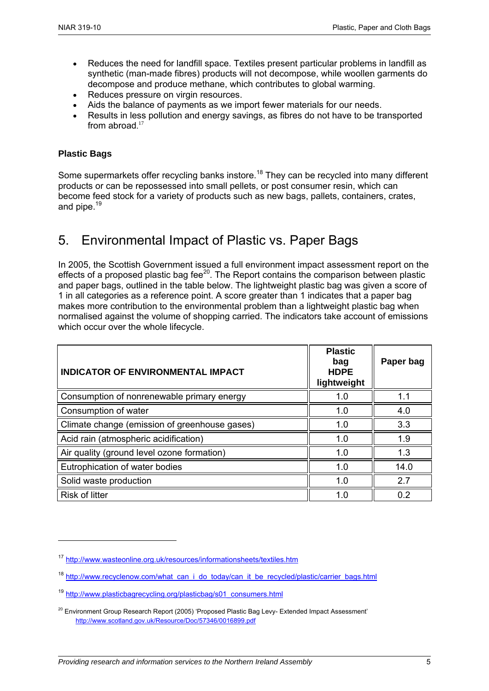- Reduces the need for landfill space. Textiles present particular problems in landfill as synthetic (man-made fibres) products will not decompose, while woollen garments do decompose and produce methane, which contributes to global warming.
- Reduces pressure on virgin resources.
- Aids the balance of payments as we import fewer materials for our needs.
- Results in less pollution and energy savings, as fibres do not have to be transported from abroad. 17

#### **Plastic Bags**

**.** 

Some supermarkets offer recycling banks instore.<sup>18</sup> They can be recycled into many different products or can be repossessed into small pellets, or post consumer resin, which can become feed stock for a variety of products such as new bags, pallets, containers, crates, and pipe.<sup>19</sup>

## 5. Environmental Impact of Plastic vs. Paper Bags

In 2005, the Scottish Government issued a full environment impact assessment report on the effects of a proposed plastic bag fee<sup>20</sup>. The Report contains the comparison between plastic and paper bags, outlined in the table below. The lightweight plastic bag was given a score of 1 in all categories as a reference point. A score greater than 1 indicates that a paper bag makes more contribution to the environmental problem than a lightweight plastic bag when normalised against the volume of shopping carried. The indicators take account of emissions which occur over the whole lifecycle.

| <b>INDICATOR OF ENVIRONMENTAL IMPACT</b>      | <b>Plastic</b><br>bag<br><b>HDPE</b><br>lightweight | Paper bag |
|-----------------------------------------------|-----------------------------------------------------|-----------|
| Consumption of nonrenewable primary energy    | 1.0                                                 | 1.1       |
| Consumption of water                          | 1.0                                                 | 4.0       |
| Climate change (emission of greenhouse gases) | 1.0                                                 | 3.3       |
| Acid rain (atmospheric acidification)         | 1.0                                                 | 1.9       |
| Air quality (ground level ozone formation)    | 1.0                                                 | 1.3       |
| Eutrophication of water bodies                | 1.0                                                 | 14.0      |
| Solid waste production                        | 1.0                                                 | 2.7       |
| <b>Risk of litter</b>                         | 1 በ                                                 | 0.2       |

<sup>17</sup> <http://www.wasteonline.org.uk/resources/informationsheets/textiles.htm>

<sup>&</sup>lt;sup>18</sup> http://www.recyclenow.com/what\_can\_i\_do\_today/can\_it\_be\_recycled/plastic/carrier\_bags.html

<sup>&</sup>lt;sup>19</sup> [http://www.plasticbagrecycling.org/plasticbag/s01\\_consumers.html](http://www.plasticbagrecycling.org/plasticbag/s01_consumers.html)

<sup>&</sup>lt;sup>20</sup> Environment Group Research Report (2005) 'Proposed Plastic Bag Levy- Extended Impact Assessment' <http://www.scotland.gov.uk/Resource/Doc/57346/0016899.pdf>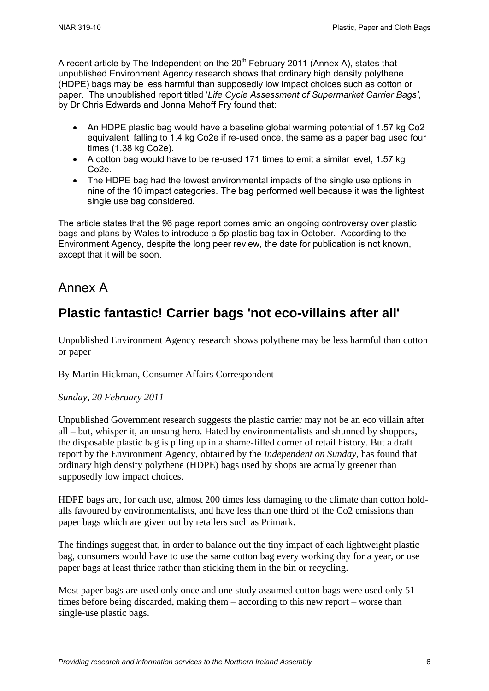A recent article by The Independent on the  $20<sup>th</sup>$  February 2011 (Annex A), states that unpublished Environment Agency research shows that ordinary high density polythene (HDPE) bags may be less harmful than supposedly low impact choices such as cotton or paper. The unpublished report titled '*Life Cycle Assessment of Supermarket Carrier Bags',*  by Dr Chris Edwards and Jonna Mehoff Fry found that:

- An HDPE plastic bag would have a baseline global warming potential of 1.57 kg Co2 equivalent, falling to 1.4 kg Co2e if re-used once, the same as a paper bag used four times (1.38 kg Co2e).
- A cotton bag would have to be re-used 171 times to emit a similar level, 1.57 kg Co2e.
- The HDPE bag had the lowest environmental impacts of the single use options in nine of the 10 impact categories. The bag performed well because it was the lightest single use bag considered.

The article states that the 96 page report comes amid an ongoing controversy over plastic bags and plans by Wales to introduce a 5p plastic bag tax in October. According to the Environment Agency, despite the long peer review, the date for publication is not known, except that it will be soon.

## Annex A

## **Plastic fantastic! Carrier bags 'not eco-villains after all'**

Unpublished Environment Agency research shows polythene may be less harmful than cotton or paper

By Martin Hickman, Consumer Affairs Correspondent

#### *Sunday, 20 February 2011*

Unpublished Government research suggests the plastic carrier may not be an eco villain after all – but, whisper it, an unsung hero. Hated by environmentalists and shunned by shoppers, the disposable plastic bag is piling up in a shame-filled corner of retail history. But a draft report by the Environment Agency, obtained by the *Independent on Sunday*, has found that ordinary high density polythene (HDPE) bags used by shops are actually greener than supposedly low impact choices.

HDPE bags are, for each use, almost 200 times less damaging to the climate than cotton holdalls favoured by environmentalists, and have less than one third of the Co2 emissions than paper bags which are given out by retailers such as Primark.

The findings suggest that, in order to balance out the tiny impact of each lightweight plastic bag, consumers would have to use the same cotton bag every working day for a year, or use paper bags at least thrice rather than sticking them in the bin or recycling.

Most paper bags are used only once and one study assumed cotton bags were used only 51 times before being discarded, making them – according to this new report – worse than single-use plastic bags.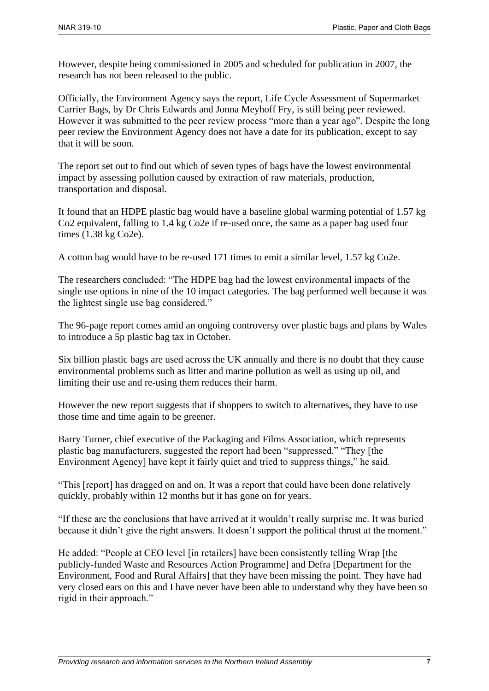However, despite being commissioned in 2005 and scheduled for publication in 2007, the research has not been released to the public.

Officially, the Environment Agency says the report, Life Cycle Assessment of Supermarket Carrier Bags, by Dr Chris Edwards and Jonna Meyhoff Fry, is still being peer reviewed. However it was submitted to the peer review process "more than a year ago". Despite the long peer review the Environment Agency does not have a date for its publication, except to say that it will be soon.

The report set out to find out which of seven types of bags have the lowest environmental impact by assessing pollution caused by extraction of raw materials, production, transportation and disposal.

It found that an HDPE plastic bag would have a baseline global warming potential of 1.57 kg Co2 equivalent, falling to 1.4 kg Co2e if re-used once, the same as a paper bag used four times (1.38 kg Co2e).

A cotton bag would have to be re-used 171 times to emit a similar level, 1.57 kg Co2e.

The researchers concluded: "The HDPE bag had the lowest environmental impacts of the single use options in nine of the 10 impact categories. The bag performed well because it was the lightest single use bag considered."

The 96-page report comes amid an ongoing controversy over plastic bags and plans by Wales to introduce a 5p plastic bag tax in October.

Six billion plastic bags are used across the UK annually and there is no doubt that they cause environmental problems such as litter and marine pollution as well as using up oil, and limiting their use and re-using them reduces their harm.

However the new report suggests that if shoppers to switch to alternatives, they have to use those time and time again to be greener.

Barry Turner, chief executive of the Packaging and Films Association, which represents plastic bag manufacturers, suggested the report had been "suppressed." "They [the Environment Agency] have kept it fairly quiet and tried to suppress things," he said.

"This [report] has dragged on and on. It was a report that could have been done relatively quickly, probably within 12 months but it has gone on for years.

"If these are the conclusions that have arrived at it wouldn't really surprise me. It was buried because it didn't give the right answers. It doesn't support the political thrust at the moment."

He added: "People at CEO level [in retailers] have been consistently telling Wrap [the publicly-funded Waste and Resources Action Programme] and Defra [Department for the Environment, Food and Rural Affairs] that they have been missing the point. They have had very closed ears on this and I have never have been able to understand why they have been so rigid in their approach."